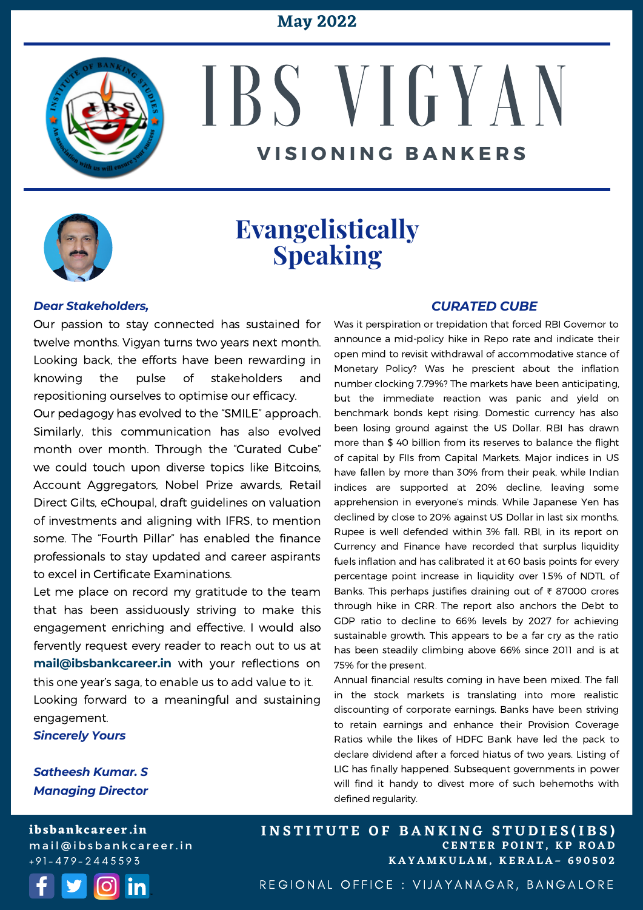#### **May 2022**



# IBS V I G Y A N **V I S I O N I N G B A N K E R S**



### **Evangelistically Speaking**

#### *Dear Stakeholders,*

Our passion to stay connected has sustained for twelve months. Vigyan turns two years next month. Looking back, the efforts have been rewarding in knowing the pulse of stakeholders and repositioning ourselves to optimise our efficacy.

Our pedagogy has evolved to the "SMILE" approach. Similarly, this communication has also evolved month over month. Through the "Curated Cube" we could touch upon diverse topics like Bitcoins, Account Aggregators, Nobel Prize awards, Retail Direct Gilts, eChoupal, draft guidelines on valuation of investments and aligning with IFRS, to mention some. The "Fourth Pillar" has enabled the finance professionals to stay updated and career aspirants to excel in Certificate Examinations.

Let me place on record my gratitude to the team that has been assiduously striving to make this engagement enriching and effective. I would also fervently request every reader to reach out to us at **[mail@ibsbankcareer.in](mailto:mail@ibsbankcareer.in)** with your reflections on this one year's saga, to enable us to add value to it. Looking forward to a meaningful and sustaining engagement.

*Sincerely Yours*

#### *Satheesh Kumar. S Managing Director*

*CURATED CUBE*

Was it perspiration or trepidation that forced RBI Governor to announce a mid-policy hike in Repo rate and indicate their open mind to revisit withdrawal of accommodative stance of Monetary Policy? Was he prescient about the inflation number clocking 7.79%? The markets have been anticipating, but the immediate reaction was panic and yield on benchmark bonds kept rising. Domestic currency has also been losing ground against the US Dollar. RBI has drawn more than \$ 40 billion from its reserves to balance the flight of capital by FIIs from Capital Markets. Major indices in US have fallen by more than 30% from their peak, while Indian indices are supported at 20% decline, leaving some apprehension in everyone's minds. While Japanese Yen has declined by close to 20% against US Dollar in last six months, Rupee is well defended within 3% fall. RBI, in its report on Currency and Finance have recorded that surplus liquidity fuels inflation and has calibrated it at 60 basis points for every percentage point increase in liquidity over 1.5% of NDTL of Banks. This perhaps justifies draining out of ₹ 87000 crores through hike in CRR. The report also anchors the Debt to GDP ratio to decline to 66% levels by 2027 for achieving sustainable growth. This appears to be a far cry as the ratio has been steadily climbing above 66% since 2011 and is at 75% for the present.

Annual financial results coming in have been mixed. The fall in the stock markets is translating into more realistic discounting of corporate earnings. Banks have been striving to retain earnings and enhance their Provision Coverage Ratios while the likes of HDFC Bank have led the pack to declare dividend after a forced hiatus of two years. Listing of LIC has finally happened. Subsequent governments in power will find it handy to divest more of such behemoths with defined regularity.

**ibsbankcareer.in** mail@ibsbankcareer.in  $+91 - 479 - 2445593$ 



**C E N T E R P O I N T , K P R O A D K A Y A M K U L A M , K E R A L A – 6 9 0 5 0 2** INSTITUTE OF BANKING STUDIES(IBS)

REGIONAL OFFICE : VIJAYANAGAR, BANGALORE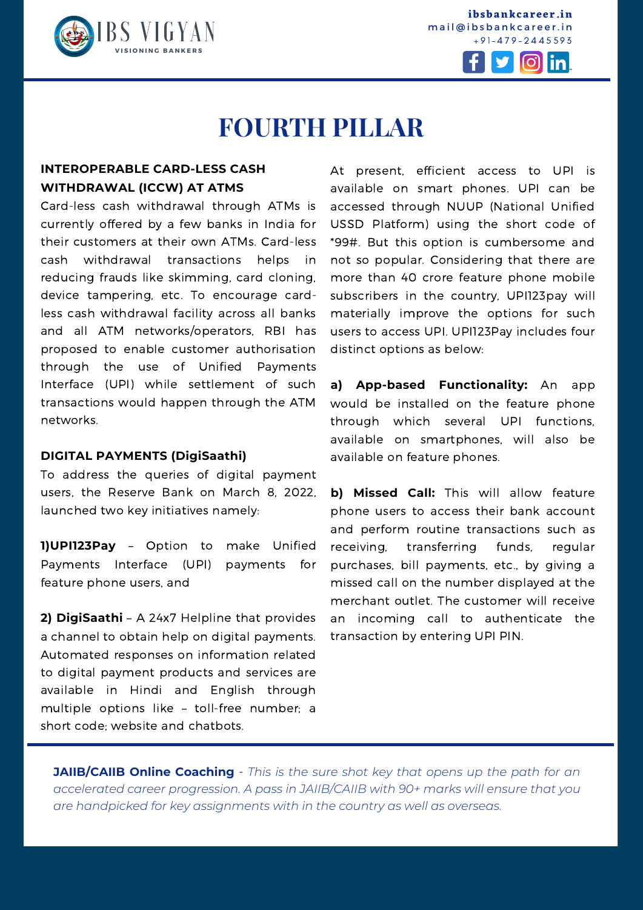

**ibsbankcareer.in** mail@ibsbankcareer.in + 9 1 - 4 7 9 - 2 4 4 5 5 9 3



### **FOURTH PILLAR**

#### **INTEROPERABLE CARD-LESS CASH WITHDRAWAL (ICCW) AT ATMS**

Card-less cash withdrawal through ATMs is currently offered by a few banks in India for their customers at their own ATMs. Card-less cash withdrawal transactions helps in reducing frauds like skimming, card cloning, device tampering, etc. To encourage cardless cash withdrawal facility across all banks and all ATM networks/operators, RBI has proposed to enable customer authorisation through the use of Unified Payments Interface (UPI) while settlement of such transactions would happen through the ATM networks.

#### **DIGITAL PAYMENTS (DigiSaathi)**

To address the queries of digital payment users, the Reserve Bank on March 8, 2022, launched two key initiatives namely:

**1)UPI123Pay** – Option to make Unified Payments Interface (UPI) payments for feature phone users, and

**2) DigiSaathi** – A 24x7 Helpline that provides a channel to obtain help on digital payments. Automated responses on information related to digital payment products and services are available in Hindi and English through multiple options like – toll-free number; a short code; website and chatbots.

At present, efficient access to UPI is available on smart phones. UPI can be accessed through NUUP (National Unified USSD Platform) using the short code of \*99#. But this option is cumbersome and not so popular. Considering that there are more than 40 crore feature phone mobile subscribers in the country, UPI123pay will materially improve the options for such users to access UPI. UPI123Pay includes four distinct options as below:

**a) App-based Functionality:** An app would be installed on the feature phone through which several UPI functions, available on smartphones, will also be available on feature phones.

**b) Missed Call:** This will allow feature phone users to access their bank account and perform routine transactions such as receiving, transferring funds, regular purchases, bill payments, etc., by giving a missed call on the number displayed at the merchant outlet. The customer will receive an incoming call to authenticate the transaction by entering UPI PIN.

**JAIIB/CAIIB Online Coaching** - *This is the sure shot key that opens up the path for an accelerated career progression. A pass in [JAIIB/CAIIB](https://ibsbankcareer.in/course/) with 90+ marks will ensure that you are handpicked for key assignments with in the country as well as overseas.*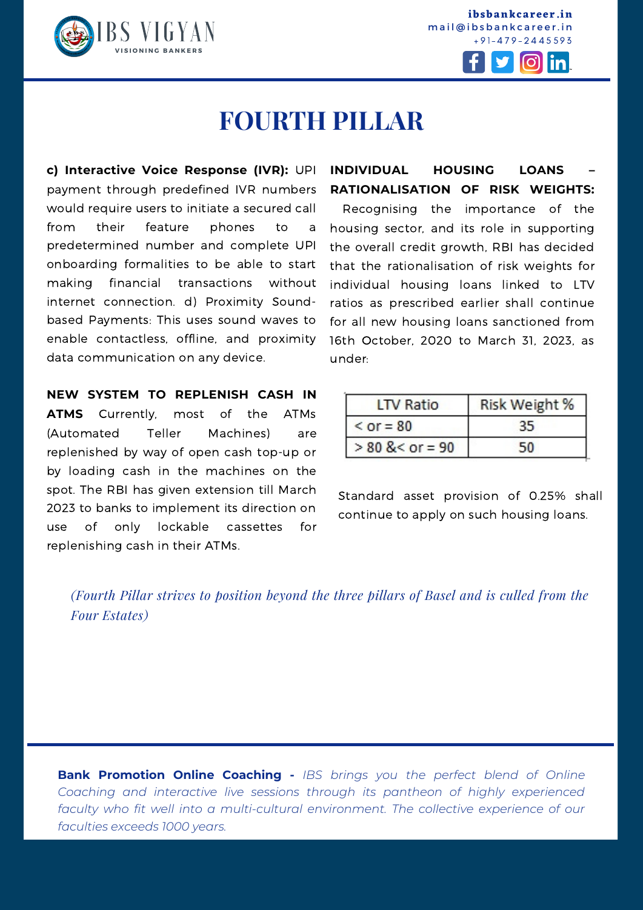

**ibsbankcareer.in** mail@ibsbankcareer.in + 9 1 - 4 7 9 - 2 4 4 5 5 9 3



### **FOURTH PILLAR**

**c) Interactive Voice Response (IVR):** UPI payment through predefined IVR numbers would require users to initiate a secured call from their feature phones to a predetermined number and complete UPI onboarding formalities to be able to start making financial transactions without internet connection. d) Proximity Soundbased Payments: This uses sound waves to enable contactless, offline, and proximity data communication on any device.

**NEW SYSTEM TO REPLENISH CASH IN ATMS** Currently, most of the ATMs (Automated Teller Machines) are replenished by way of open cash top-up or by loading cash in the machines on the spot. The RBI has given extension till March 2023 to banks to implement its direction on use of only lockable cassettes for replenishing cash in their ATMs.

#### **INDIVIDUAL HOUSING LOANS – RATIONALISATION OF RISK WEIGHTS:**

Recognising the importance of the housing sector, and its role in supporting the overall credit growth, RBI has decided that the rationalisation of risk weights for individual housing loans linked to LTV ratios as prescribed earlier shall continue for all new housing loans sanctioned from 16th October, 2020 to March 31, 2023, as under:

| <b>LTV Ratio</b>   | Risk Weight % |
|--------------------|---------------|
| $<$ or = 80        |               |
| $> 80$ & < or = 90 | 50.           |

Standard asset provision of 0.25% shall continue to apply on such housing loans.

*(Fourth Pillar strives to position beyond the three pillars of Basel and is culled from the Four Estates)*

**I N S T I T U T E O F B A N K I N G S T U D I E S (I B S ) Bank Promotion Online Coaching -** *IBS brings you the perfect blend of Online Coaching and interactive live sessions through its pantheon of highly experienced faculty who fit well into a multi-cultural environment. The collective experience of our faculties exceeds 1000 years.*